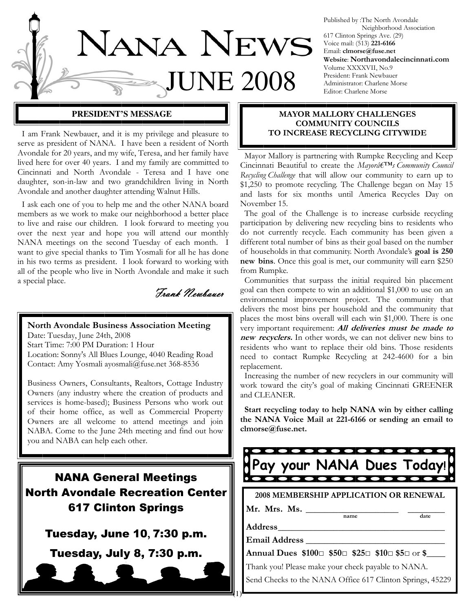

Published by :The North Avondale Neighborhood Association 617 Clinton Springs Ave. (29) Voice mail: (513) 221-6166 Email: clmorse@fuse.net Website: Northavondalecincinnati.com Volume XXXXVII, No.9 President: Frank Newbauer Administrator: Charlene Morse Editor: Charlene Morse

 I am Frank Newbauer, and it is my privilege and pleasure to serve as president of NANA. I have been a resident of North Avondale for 20 years, and my wife, Teresa, and her family have lived here for over 40 years. I and my family are committed to Cincinnati and North Avondale - Teresa and I have one daughter, son-in-law and two grandchildren living in North Avondale and another daughter attending Walnut Hills.

 I ask each one of you to help me and the other NANA board members as we work to make our neighborhood a better place to live and raise our children. I look forward to meeting you over the next year and hope you will attend our monthly NANA meetings on the second Tuesday of each month. I want to give special thanks to Tim Yosmali for all he has done in his two terms as president. I look forward to working with all of the people who live in North Avondale and make it such a special place.

Frank Newbauer

North Avondale Business Association Meeting Date: Tuesday, June 24th, 2008

Start Time: 7:00 PM Duration: 1 Hour Location: Sonny's All Blues Lounge, 4040 Reading Road Contact: Amy Yosmali ayosmali@fuse.net 368-8536

Business Owners, Consultants, Realtors, Cottage Industry Owners (any industry where the creation of products and services is home-based); Business Persons who work out of their home office, as well as Commercial Property Owners are all welcome to attend meetings and join NABA. Come to the June 24th meeting and find out how you and NABA can help each other.

# NANA General Meetings North Avondale Recreation Center 617 Clinton Springs

## Tuesday, June 10, 7:30 p.m.

Tuesday, July 8, 7:30 p.m.

#### **PRESIDENT'S MESSAGE NATION MAYOR MALLORY CHALLENGES** COMMUNITY COUNCILS TO INCREASE RECYCLING CITYWIDE

 Mayor Mallory is partnering with Rumpke Recycling and Keep Cincinnati Beautiful to create the Mayorâ $\epsilon^{TM}$ s Community Council Recycling Challenge that will allow our community to earn up to \$1,250 to promote recycling. The Challenge began on May 15 and lasts for six months until America Recycles Day on November 15.

 The goal of the Challenge is to increase curbside recycling participation by delivering new recycling bins to residents who do not currently recycle. Each community has been given a different total number of bins as their goal based on the number of households in that community. North Avondale's goal is 250 new bins. Once this goal is met, our community will earn \$250 from Rumpke.

 Communities that surpass the initial required bin placement goal can then compete to win an additional \$1,000 to use on an environmental improvement project. The community that delivers the most bins per household and the community that places the most bins overall will each win \$1,000. There is one very important requirement: **All deliveries must be made to** new recyclers. In other words, we can not deliver new bins to residents who want to replace their old bins. Those residents need to contact Rumpke Recycling at 242-4600 for a bin replacement.

 Increasing the number of new recyclers in our community will work toward the city's goal of making Cincinnati GREENER and CLEANER.

 Start recycling today to help NANA win by either calling the NANA Voice Mail at 221-6166 or sending an email to clmorse@fuse.net.



Email Address \_\_\_\_\_\_\_\_\_\_\_\_\_\_\_\_\_\_\_\_\_\_\_\_\_\_\_\_\_\_

 $(1)^{r}$ 

Annual Dues \$100□ \$50□ \$25□ \$10□ \$5□ or \$\_\_\_\_

Thank you! Please make your check payable to NANA.

Send Checks to the NANA Office 617 Clinton Springs, 45229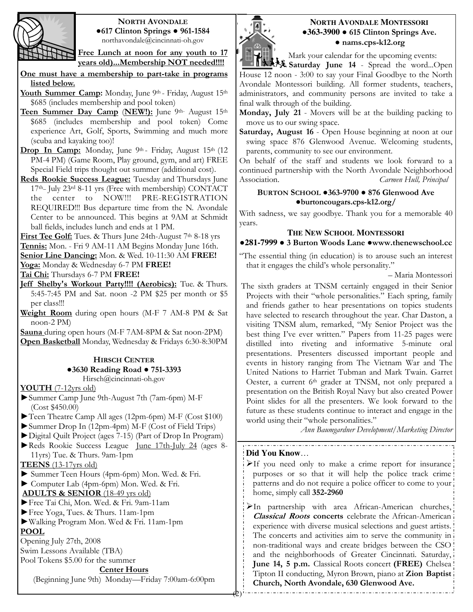

#### NORTH AVONDALE ●617 Clinton Springs ● 961-1584 northavondale@cincinnati-oh.gov

Free Lunch at noon for any youth to 17 years old)...Membership NOT needed!!!!

One must have a membership to part-take in programs listed below.

Youth Summer Camp: Monday, June 9th - Friday, August 15th \$685 (includes membership and pool token)

- Teen Summer Day Camp (NEW!): June 9th- August 15th \$685 (includes membership and pool token) Come experience Art, Golf, Sports, Swimming and much more (scuba and kayaking too)!
- Drop In Camp: Monday, June 9th Friday, August 15th (12 PM-4 PM) (Game Room, Play ground, gym, and art) FREE Special Field trips thought out summer (additional cost).
- Reds Rookie Success League: Tuesday and Thursdays June 17th\_ July 23rd 8-11 yrs (Free with membership) CONTACT the center to NOW!!! PRE-REGISTRATION REQUIRED!!! Bus departure time from the N. Avondale Center to be announced. This begins at 9AM at Schmidt ball fields, includes lunch and ends at 1 PM.

First Tee Golf: Tues. & Thurs June 24th-August 7<sup>th</sup> 8-18 yrs

Tennis: Mon. - Fri 9 AM-11 AM Begins Monday June 16th.

Senior Line Dancing: Mon. & Wed. 10-11:30 AM FREE!

Yoga: Monday & Wednesday 6-7 PM FREE!

Tai Chi: Thursdays 6-7 PM FREE!

- Jeff Shelby's Workout Party!!!! (Aerobics): Tue. & Thurs. 5:45-7:45 PM and Sat. noon -2 PM \$25 per month or \$5 per class!!!
- Weight Room during open hours (M-F 7 AM-8 PM & Sat noon-2 PM)

Sauna during open hours (M-F 7AM-8PM & Sat noon-2PM) Open Basketball Monday, Wednesday & Fridays 6:30-8:30PM

#### HIRSCH CENTER ●3630 Reading Road ● 751-3393 Hirsch@cincinnati-oh.gov

YOUTH (7-12yrs old)

- ►Summer Camp June 9th-August 7th (7am-6pm) M-F (Cost \$450.00)
- ►Teen Theatre Camp All ages (12pm-6pm) M-F (Cost \$100)

►Summer Drop In (12pm-4pm) M-F (Cost of Field Trips)

- ►Digital Quilt Project (ages 7-15) (Part of Drop In Program)
- ►Reds Rookie Success League June 17th-July 24 (ages 8- 11yrs) Tue. & Thurs. 9am-1pm

TEENS (13-17yrs old)

► Summer Teen Hours (4pm-6pm) Mon. Wed. & Fri.

► Computer Lab (4pm-6pm) Mon. Wed. & Fri.

ADULTS & SENIOR (18-49 yrs old)

- ►Free Tai Chi, Mon. Wed. & Fri. 9am-11am
- ►Free Yoga, Tues. & Thurs. 11am-1pm
- ►Walking Program Mon. Wed & Fri. 11am-1pm POOL

Opening July 27th, 2008

Swim Lessons Available (TBA)

Pool Tokens \$5.00 for the summer

#### Center Hours

(Beginning June 9th) Monday—Friday 7:00am-6:00pm



#### **NORTH AVONDALE MONTESSORI** ●**363-3900** ● 615 Clinton Springs Ave. ● nams.cps-k12.org

Mark your calendar for the upcoming events:

1. 大夫 Saturday June 14 - Spread the word...Open House 12 noon - 3:00 to say your Final Goodbye to the North Avondale Montessori building. All former students, teachers, administrators, and community persons are invited to take a final walk through of the building.

Monday, July 21 - Movers will be at the building packing to move us to our swing space.

Saturday, August 16 - Open House beginning at noon at our swing space 876 Glenwood Avenue. Welcoming students, parents, community to see our environment.

On behalf of the staff and students we look forward to a continued partnership with the North Avondale Neighborhood Association. Carmen Hull, Principal

#### BURTON SCHOOL ●363-9700 ● 876 Glenwood Ave ●burtoncougars.cps-k12.org/

With sadness, we say goodbye. Thank you for a memorable 40 years.

## **THE NEW SCHOOL MONTESSORI** ●**281-7999** ● 3 Burton Woods Lane ●www.thenewschool.cc

"The essential thing (in education) is to arouse such an interest that it engages the child's whole personality."

– Maria Montessori

The sixth graders at TNSM certainly engaged in their Senior Projects with their "whole personalities." Each spring, family and friends gather to hear presentations on topics students have selected to research throughout the year. Char Daston, a visiting TNSM alum, remarked, "My Senior Project was the best thing I've ever written." Papers from 11-25 pages were distilled into riveting and informative 5-minute oral presentations. Presenters discussed important people and events in history ranging from The Vietnam War and The United Nations to Harriet Tubman and Mark Twain. Garret Oester, a current 6<sup>th</sup> grader at TNSM, not only prepared a presentation on the British Royal Navy but also created Power Point slides for all the presenters. We look forward to the future as these students continue to interact and engage in the world using their "whole personalities."

Ann Baumgardner Development/Marketing Director

#### **Did You Know**…

- $\blacktriangleright$ If you need only to make a crime report for insurance purposes or so that it will help the police track crime patterns and do not require a police officer to come to your home, simply call 352-2960
- In partnership with area African-American churches, Classical Roots concerts celebrate the African-American experience with diverse musical selections and guest artists. The concerts and activities aim to serve the community in non-traditional ways and create bridges between the CSO and the neighborhoods of Greater Cincinnati. Saturday, June 14, 5 p.m. Classical Roots concert (FREE) Chelsea Tipton II conducting, Myron Brown, piano at Zion Baptist Church, North Avondale, 630 Glenwood Ave.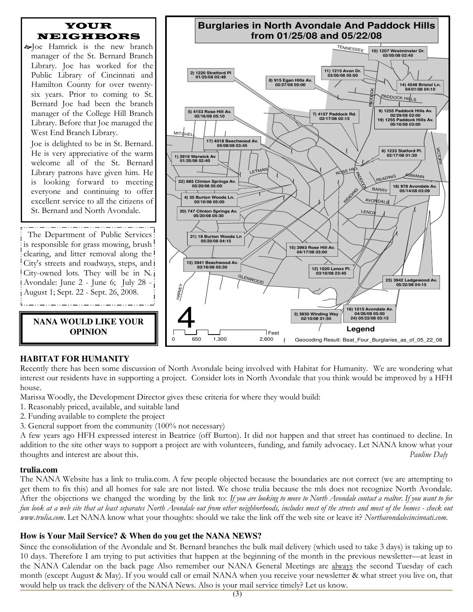

### **HABITAT FOR HUMANITY**

Recently there has been some discussion of North Avondale being involved with Habitat for Humanity. We are wondering what interest our residents have in supporting a project. Consider lots in North Avondale that you think would be improved by a HFH house.

Marissa Woodly, the Development Director gives these criteria for where they would build:

- 1. Reasonably priced, available, and suitable land
- 2. Funding available to complete the project
- 3. General support from the community (100% not necessary)

A few years ago HFH expressed interest in Beatrice (off Burton). It did not happen and that street has continued to decline. In addition to the site other ways to support a project are with volunteers, funding, and family advocacy. Let NANA know what your thoughts and interest are about this. Pauline Daly

#### **trulia.com**

The NANA Website has a link to trulia.com. A few people objected because the boundaries are not correct (we are attempting to get them to fix this) and all homes for sale are not listed. We chose trulia because the mls does not recognize North Avondale. After the objections we changed the wording by the link to: If you are looking to move to North Avondale contact a realtor. If you want to for fun look at a web site that at least separates North Avondale out from other neighborhoods, includes most of the streets and most of the homes - check out www.trulia.com. Let NANA know what your thoughts: should we take the link off the web site or leave it? Northavondalecincinnati.com.

#### **How is Your Mail Service? & When do you get the NANA NEWS?**

Since the consolidation of the Avondale and St. Bernard branches the bulk mail delivery (which used to take 3 days) is taking up to 10 days. Therefore I am trying to put activities that happen at the beginning of the month in the previous newsletter—at least in the NANA Calendar on the back page Also remember our NANA General Meetings are always the second Tuesday of each month (except August & May). If you would call or email NANA when you receive your newsletter & what street you live on, that would help us track the delivery of the NANA News. Also is your mail service timely? Let us know.